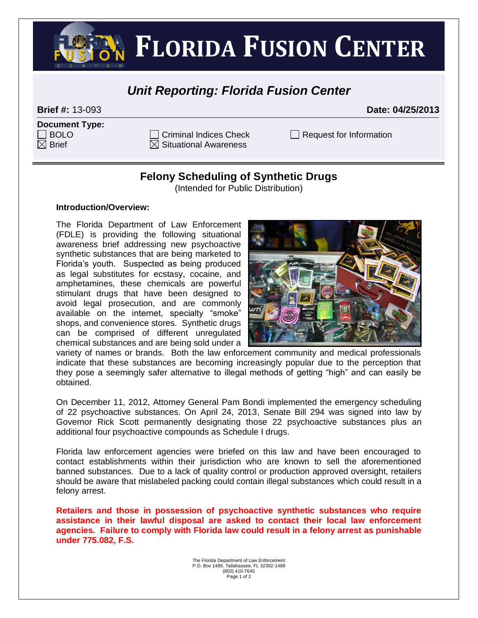**FLORIDA FUSION CENTER** 

## *Unit Reporting: Florida Fusion Center*

**Brief #:** 13-093 **Date: 04/25/2013**

| <b>Document Type:</b> |  |
|-----------------------|--|
| $\Box$ BOLO           |  |
| $\boxtimes$ Brief     |  |

 $\boxtimes$  Situational Awareness

 $C$ riminal Indices Check  $\Box$  Request for Information

## **Felony Scheduling of Synthetic Drugs**

(Intended for Public Distribution)

## **Introduction/Overview:**

The Florida Department of Law Enforcement (FDLE) is providing the following situational awareness brief addressing new psychoactive synthetic substances that are being marketed to Florida's youth. Suspected as being produced as legal substitutes for ecstasy, cocaine, and amphetamines, these chemicals are powerful stimulant drugs that have been designed to avoid legal prosecution, and are commonly available on the internet, specialty "smoke" shops, and convenience stores. Synthetic drugs can be comprised of different unregulated chemical substances and are being sold under a



variety of names or brands. Both the law enforcement community and medical professionals indicate that these substances are becoming increasingly popular due to the perception that they pose a seemingly safer alternative to illegal methods of getting "high" and can easily be obtained.

On December 11, 2012, Attorney General Pam Bondi implemented the emergency scheduling of 22 psychoactive substances. On April 24, 2013, Senate Bill 294 was signed into law by Governor Rick Scott permanently designating those 22 psychoactive substances plus an additional four psychoactive compounds as Schedule I drugs.

Florida law enforcement agencies were briefed on this law and have been encouraged to contact establishments within their jurisdiction who are known to sell the aforementioned banned substances. Due to a lack of quality control or production approved oversight, retailers should be aware that mislabeled packing could contain illegal substances which could result in a felony arrest.

**Retailers and those in possession of psychoactive synthetic substances who require assistance in their lawful disposal are asked to contact their local law enforcement agencies. Failure to comply with Florida law could result in a felony arrest as punishable under 775.082, F.S.**

> The Florida Department of Law Enforcement P.O. Box 1489, Tallahassee, FL 32302-1489 (850) 410-7645 Page 1 of 2